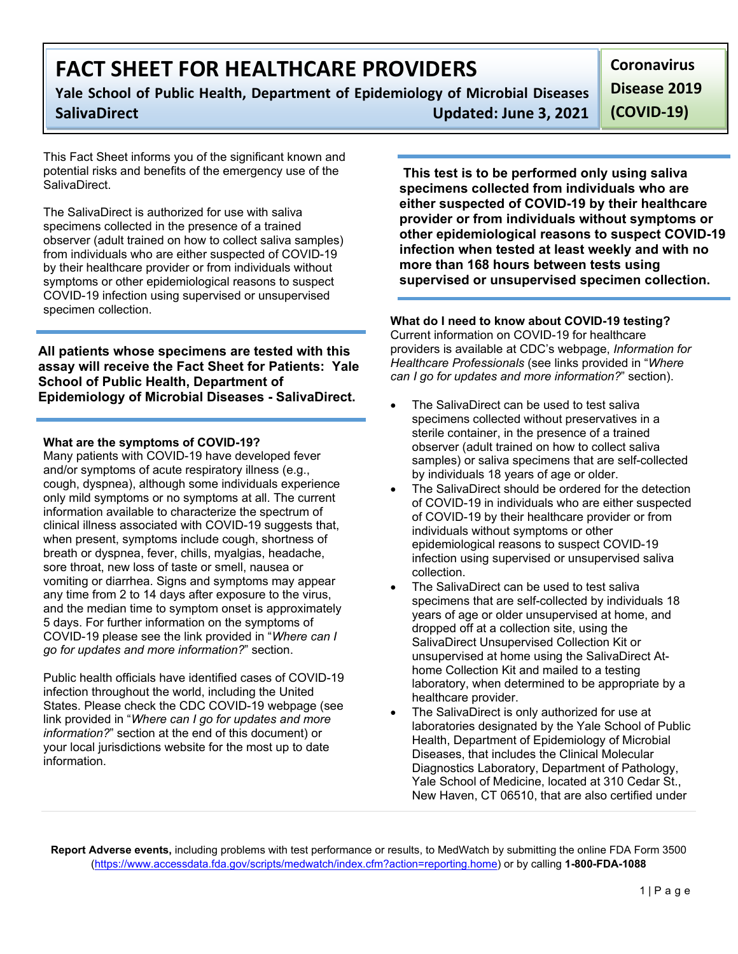# **FACT SHEET FOR HEALTHCARE PROVIDERS**

**Yale School of Public Health, Department of Epidemiology of Microbial Diseases SalivaDirect Updated: June 3, 2021** **Coronavirus Disease 2019** 

**(COVID-19)**

This Fact Sheet informs you of the significant known and potential risks and benefits of the emergency use of the SalivaDirect.

The SalivaDirect is authorized for use with saliva specimens collected in the presence of a trained observer (adult trained on how to collect saliva samples) from individuals who are either suspected of COVID-19 by their healthcare provider or from individuals without symptoms or other epidemiological reasons to suspect COVID-19 infection using supervised or unsupervised specimen collection.

**All patients whose specimens are tested with this assay will receive the Fact Sheet for Patients: Yale School of Public Health, Department of Epidemiology of Microbial Diseases - SalivaDirect.**

### **What are the symptoms of COVID-19?**

Many patients with COVID-19 have developed fever and/or symptoms of acute respiratory illness (e.g., cough, dyspnea), although some individuals experience only mild symptoms or no symptoms at all. The current information available to characterize the spectrum of clinical illness associated with COVID-19 suggests that, when present, symptoms include cough, shortness of breath or dyspnea, fever, chills, myalgias, headache, sore throat, new loss of taste or smell, nausea or vomiting or diarrhea. Signs and symptoms may appear any time from 2 to 14 days after exposure to the virus, and the median time to symptom onset is approximately 5 days. For further information on the symptoms of COVID-19 please see the link provided in "*Where can I go for updates and more information?*" section.

Public health officials have identified cases of COVID-19 infection throughout the world, including the United States. Please check the CDC COVID-19 webpage (see link provided in "*Where can I go for updates and more information?*" section at the end of this document) or your local jurisdictions website for the most up to date information.

**This test is to be performed only using saliva specimens collected from individuals who are either suspected of COVID-19 by their healthcare provider or from individuals without symptoms or other epidemiological reasons to suspect COVID-19 infection when tested at least weekly and with no more than 168 hours between tests using supervised or unsupervised specimen collection.**

### **What do I need to know about COVID-19 testing?**

Current information on COVID-19 for healthcare providers is available at CDC's webpage, *Information for Healthcare Professionals* (see links provided in "*Where can I go for updates and more information?*" section).

- The SalivaDirect can be used to test saliva specimens collected without preservatives in a sterile container, in the presence of a trained observer (adult trained on how to collect saliva samples) or saliva specimens that are self-collected by individuals 18 years of age or older.
- The SalivaDirect should be ordered for the detection of COVID-19 in individuals who are either suspected of COVID-19 by their healthcare provider or from individuals without symptoms or other epidemiological reasons to suspect COVID-19 infection using supervised or unsupervised saliva collection.
- The SalivaDirect can be used to test saliva specimens that are self-collected by individuals 18 years of age or older unsupervised at home, and dropped off at a collection site, using the SalivaDirect Unsupervised Collection Kit or unsupervised at home using the SalivaDirect Athome Collection Kit and mailed to a testing laboratory, when determined to be appropriate by a healthcare provider.
- The SalivaDirect is only authorized for use at laboratories designated by the Yale School of Public Health, Department of Epidemiology of Microbial Diseases, that includes the Clinical Molecular Diagnostics Laboratory, Department of Pathology, Yale School of Medicine, located at 310 Cedar St., New Haven, CT 06510, that are also certified under

**Report Adverse events,** including problems with test performance or results, to MedWatch by submitting the online FDA Form 3500 [\(https://www.accessdata.fda.gov/scripts/medwatch/index.cfm?action=reporting.home\)](https://www.accessdata.fda.gov/scripts/medwatch/index.cfm?action=reporting.home) or by calling **1-800-FDA-1088**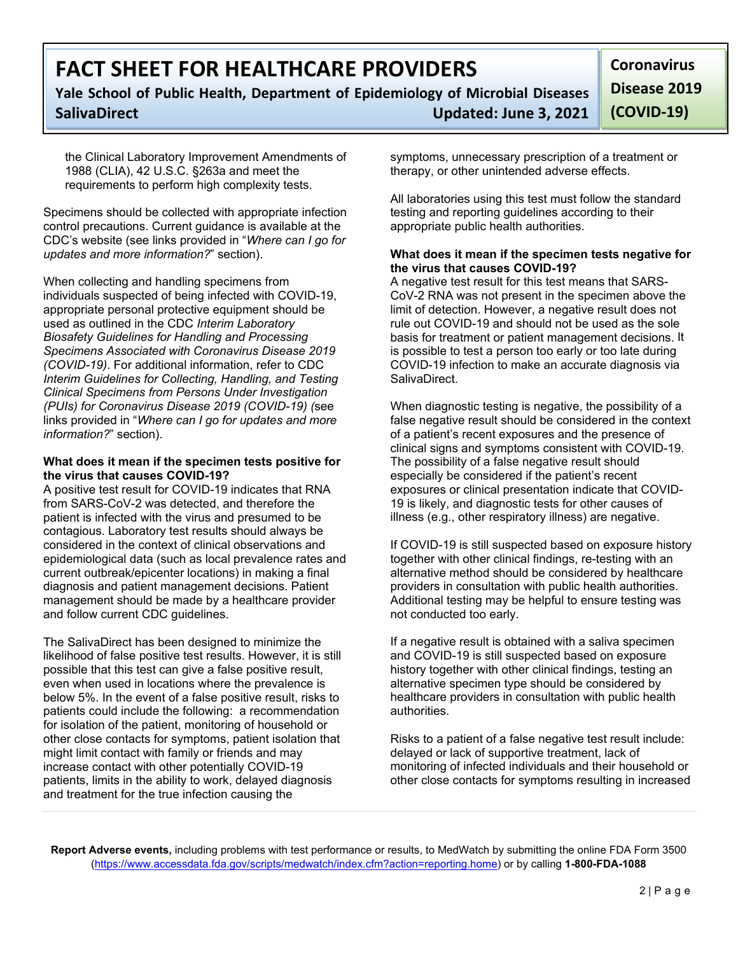# **FACT SHEET FOR HEALTHCARE PROVIDERS**

## **Yale School of Public Health, Department of Epidemiology of Microbial Diseases SalivaDirect Updated: June 3, 2021**

**Coronavirus Disease 2019 (COVID-19)**

the Clinical Laboratory Improvement Amendments of 1988 (CLIA), 42 U.S.C. §263a and meet the requirements to perform high complexity tests.

Specimens should be collected with appropriate infection control precautions. Current guidance is available at the CDC's website (see links provided in "*Where can I go for updates and more information?*" section).

When collecting and handling specimens from individuals suspected of being infected with COVID-19, appropriate personal protective equipment should be used as outlined in the CDC *Interim Laboratory Biosafety Guidelines for Handling and Processing Specimens Associated with Coronavirus Disease 2019 (COVID-19)*. For additional information, refer to CDC *Interim Guidelines for Collecting, Handling, and Testing Clinical Specimens from Persons Under Investigation (PUIs) for Coronavirus Disease 2019 (COVID-19) (*see links provided in "*Where can I go for updates and more information?*" section).

### **What does it mean if the specimen tests positive for the virus that causes COVID-19?**

A positive test result for COVID-19 indicates that RNA from SARS-CoV-2 was detected, and therefore the patient is infected with the virus and presumed to be contagious. Laboratory test results should always be considered in the context of clinical observations and epidemiological data (such as local prevalence rates and current outbreak/epicenter locations) in making a final diagnosis and patient management decisions. Patient management should be made by a healthcare provider and follow current CDC guidelines.

The SalivaDirect has been designed to minimize the likelihood of false positive test results. However, it is still possible that this test can give a false positive result, even when used in locations where the prevalence is below 5%. In the event of a false positive result, risks to patients could include the following: a recommendation for isolation of the patient, monitoring of household or other close contacts for symptoms, patient isolation that might limit contact with family or friends and may increase contact with other potentially COVID-19 patients, limits in the ability to work, delayed diagnosis and treatment for the true infection causing the

symptoms, unnecessary prescription of a treatment or therapy, or other unintended adverse effects.

All laboratories using this test must follow the standard testing and reporting guidelines according to their appropriate public health authorities.

### **What does it mean if the specimen tests negative for the virus that causes COVID-19?**

A negative test result for this test means that SARS-CoV-2 RNA was not present in the specimen above the limit of detection. However, a negative result does not rule out COVID-19 and should not be used as the sole basis for treatment or patient management decisions. It is possible to test a person too early or too late during COVID-19 infection to make an accurate diagnosis via SalivaDirect.

When diagnostic testing is negative, the possibility of a false negative result should be considered in the context of a patient's recent exposures and the presence of clinical signs and symptoms consistent with COVID-19. The possibility of a false negative result should especially be considered if the patient's recent exposures or clinical presentation indicate that COVID-19 is likely, and diagnostic tests for other causes of illness (e.g., other respiratory illness) are negative.

If COVID-19 is still suspected based on exposure history together with other clinical findings, re-testing with an alternative method should be considered by healthcare providers in consultation with public health authorities. Additional testing may be helpful to ensure testing was not conducted too early.

If a negative result is obtained with a saliva specimen and COVID-19 is still suspected based on exposure history together with other clinical findings, testing an alternative specimen type should be considered by healthcare providers in consultation with public health authorities.

Risks to a patient of a false negative test result include: delayed or lack of supportive treatment, lack of monitoring of infected individuals and their household or other close contacts for symptoms resulting in increased

**Report Adverse events,** including problems with test performance or results, to MedWatch by submitting the online FDA Form 3500 [\(https://www.accessdata.fda.gov/scripts/medwatch/index.cfm?action=reporting.home\)](https://www.accessdata.fda.gov/scripts/medwatch/index.cfm?action=reporting.home) or by calling **1-800-FDA-1088**